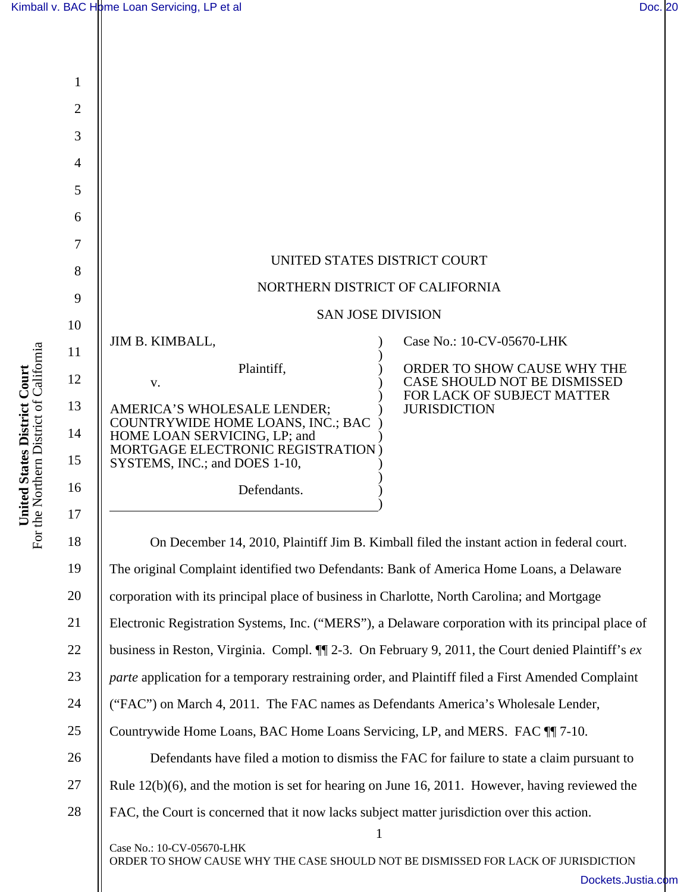

For the Northern District of California For the Northern District of California United States District Court **United States District Court** 

1 Case No.: 10-CV-05670-LHK ORDER TO SHOW CAUSE WHY THE CASE SHOULD NOT BE DISMISSED FOR LACK OF JURISDICTION 23 24 25 26 27 28 Electronic Registration Systems, Inc. ("MERS"), a Delaware corporation with its principal place of business in Reston, Virginia. Compl. ¶¶ 2-3. On February 9, 2011, the Court denied Plaintiff's *ex parte* application for a temporary restraining order, and Plaintiff filed a First Amended Complaint ("FAC") on March 4, 2011. The FAC names as Defendants America's Wholesale Lender, Countrywide Home Loans, BAC Home Loans Servicing, LP, and MERS. FAC ¶¶ 7-10. Defendants have filed a motion to dismiss the FAC for failure to state a claim pursuant to Rule 12(b)(6), and the motion is set for hearing on June 16, 2011. However, having reviewed the FAC, the Court is concerned that it now lacks subject matter jurisdiction over this action.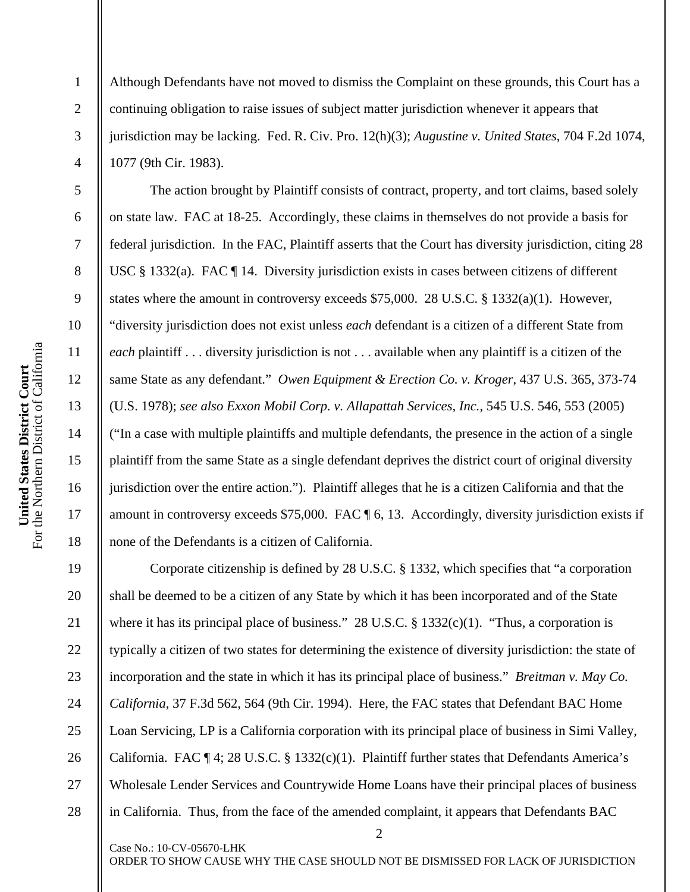1

2

3

4

5

6

7

8

9

10

11

12

13

14

15

16

17

18

19

20

21

22

27

28

Although Defendants have not moved to dismiss the Complaint on these grounds, this Court has a continuing obligation to raise issues of subject matter jurisdiction whenever it appears that jurisdiction may be lacking. Fed. R. Civ. Pro. 12(h)(3); *Augustine v. United States*, 704 F.2d 1074, 1077 (9th Cir. 1983).

The action brought by Plaintiff consists of contract, property, and tort claims, based solely on state law. FAC at 18-25. Accordingly, these claims in themselves do not provide a basis for federal jurisdiction. In the FAC, Plaintiff asserts that the Court has diversity jurisdiction, citing 28 USC § 1332(a). FAC ¶ 14. Diversity jurisdiction exists in cases between citizens of different states where the amount in controversy exceeds \$75,000. 28 U.S.C. § 1332(a)(1). However, "diversity jurisdiction does not exist unless *each* defendant is a citizen of a different State from *each* plaintiff . . . diversity jurisdiction is not . . . available when any plaintiff is a citizen of the same State as any defendant." *Owen Equipment & Erection Co. v. Kroger*, 437 U.S. 365, 373-74 (U.S. 1978); *see also Exxon Mobil Corp. v. Allapattah Services, Inc.*, 545 U.S. 546, 553 (2005) ("In a case with multiple plaintiffs and multiple defendants, the presence in the action of a single plaintiff from the same State as a single defendant deprives the district court of original diversity jurisdiction over the entire action."). Plaintiff alleges that he is a citizen California and that the amount in controversy exceeds \$75,000. FAC ¶ 6, 13. Accordingly, diversity jurisdiction exists if none of the Defendants is a citizen of California.

23 24 25 26 Corporate citizenship is defined by 28 U.S.C. § 1332, which specifies that "a corporation shall be deemed to be a citizen of any State by which it has been incorporated and of the State where it has its principal place of business." 28 U.S.C.  $\S$  1332(c)(1). "Thus, a corporation is typically a citizen of two states for determining the existence of diversity jurisdiction: the state of incorporation and the state in which it has its principal place of business." *Breitman v. May Co. California*, 37 F.3d 562, 564 (9th Cir. 1994). Here, the FAC states that Defendant BAC Home Loan Servicing, LP is a California corporation with its principal place of business in Simi Valley, California. FAC ¶ 4; 28 U.S.C. § 1332(c)(1). Plaintiff further states that Defendants America's Wholesale Lender Services and Countrywide Home Loans have their principal places of business in California. Thus, from the face of the amended complaint, it appears that Defendants BAC

ORDER TO SHOW CAUSE WHY THE CASE SHOULD NOT BE DISMISSED FOR LACK OF JURISDICTION

Case No.: 10-CV-05670-LHK

2